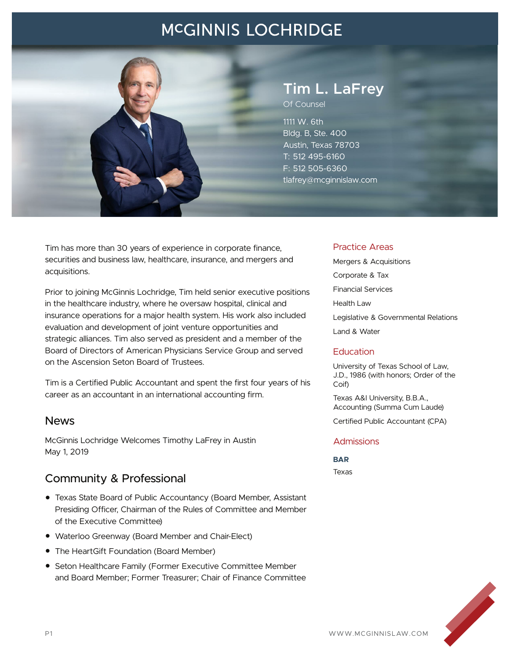## **MCGINNIS LOCHRIDGE**



# **Tim L. LaFrey**

Of Counsel

1111 W. 6th Bldg. B, Ste. 400 Austin, Texas 78703 T: 512 495-6160 F: 512 505-6360 tlafrey@mcginnislaw.com

Tim has more than 30 years of experience in corporate finance, securities and business law, healthcare, insurance, and mergers and acquisitions.

Prior to joining McGinnis Lochridge, Tim held senior executive positions in the healthcare industry, where he oversaw hospital, clinical and insurance operations for a major health system. His work also included evaluation and development of joint venture opportunities and strategic alliances. Tim also served as president and a member of the Board of Directors of American Physicians Service Group and served on the Ascension Seton Board of Trustees.

Tim is a Certified Public Accountant and spent the first four years of his career as an accountant in an international accounting firm.

### News

McGinnis Lochridge Welcomes Timothy LaFrey in Austin May 1, 2019

### Community & Professional

- Texas State Board of Public Accountancy (Board Member, Assistant Presiding Officer, Chairman of the Rules of Committee and Member of the Executive Committee)
- Waterloo Greenway (Board Member and Chair-Elect)
- The HeartGift Foundation (Board Member)
- Seton Healthcare Family (Former Executive Committee Member and Board Member; Former Treasurer; Chair of Finance Committee

#### Practice Areas

Mergers & Acquisitions Corporate & Tax Financial Services Health Law Legislative & Governmental Relations Land & Water

#### **Education**

University of Texas School of Law, J.D., 1986 (with honors; Order of the Coif)

Texas A&I University, B.B.A., Accounting (Summa Cum Laude)

Certified Public Accountant (CPA)

#### Admissions

**BAR** Texas